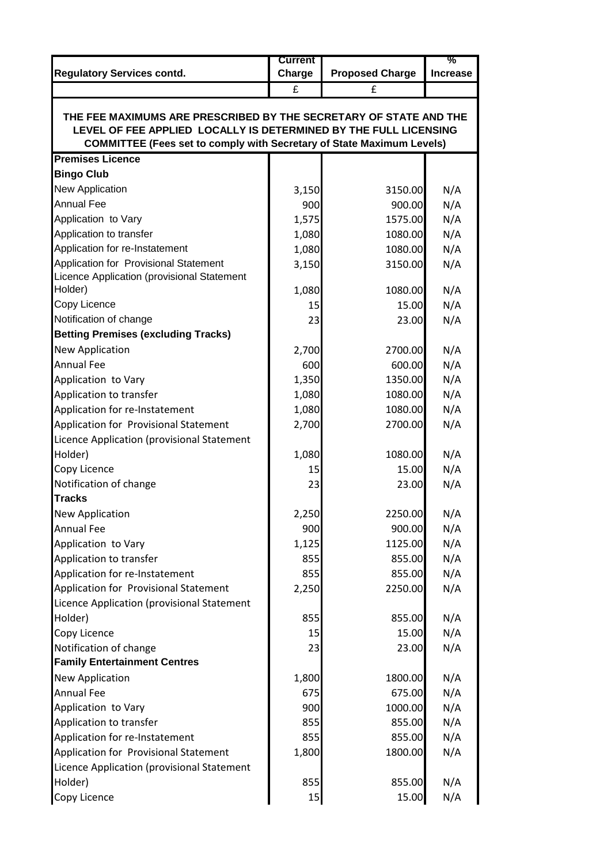|                                                                                                                                                  | <b>Current</b> |                        | %               |  |  |  |
|--------------------------------------------------------------------------------------------------------------------------------------------------|----------------|------------------------|-----------------|--|--|--|
| <b>Regulatory Services contd.</b>                                                                                                                | Charge         | <b>Proposed Charge</b> | <b>Increase</b> |  |  |  |
|                                                                                                                                                  | £              | £                      |                 |  |  |  |
|                                                                                                                                                  |                |                        |                 |  |  |  |
| THE FEE MAXIMUMS ARE PRESCRIBED BY THE SECRETARY OF STATE AND THE                                                                                |                |                        |                 |  |  |  |
| LEVEL OF FEE APPLIED LOCALLY IS DETERMINED BY THE FULL LICENSING<br><b>COMMITTEE (Fees set to comply with Secretary of State Maximum Levels)</b> |                |                        |                 |  |  |  |
| <b>Premises Licence</b>                                                                                                                          |                |                        |                 |  |  |  |
| <b>Bingo Club</b>                                                                                                                                |                |                        |                 |  |  |  |
| <b>New Application</b>                                                                                                                           | 3,150          | 3150.00                | N/A             |  |  |  |
| <b>Annual Fee</b>                                                                                                                                | 900            | 900.00                 | N/A             |  |  |  |
| Application to Vary                                                                                                                              | 1,575          | 1575.00                | N/A             |  |  |  |
| Application to transfer                                                                                                                          | 1,080          | 1080.00                | N/A             |  |  |  |
| Application for re-Instatement                                                                                                                   | 1,080          | 1080.00                | N/A             |  |  |  |
| Application for Provisional Statement                                                                                                            | 3,150          | 3150.00                | N/A             |  |  |  |
| Licence Application (provisional Statement                                                                                                       |                |                        |                 |  |  |  |
| Holder)                                                                                                                                          | 1,080          | 1080.00                | N/A             |  |  |  |
| Copy Licence                                                                                                                                     | 15             | 15.00                  | N/A             |  |  |  |
| Notification of change                                                                                                                           | 23             | 23.00                  | N/A             |  |  |  |
| <b>Betting Premises (excluding Tracks)</b>                                                                                                       |                |                        |                 |  |  |  |
| <b>New Application</b>                                                                                                                           | 2,700          | 2700.00                | N/A             |  |  |  |
| <b>Annual Fee</b>                                                                                                                                | 600            | 600.00                 | N/A             |  |  |  |
| Application to Vary                                                                                                                              | 1,350          | 1350.00                | N/A             |  |  |  |
| Application to transfer                                                                                                                          | 1,080          | 1080.00                | N/A             |  |  |  |
| Application for re-Instatement                                                                                                                   | 1,080          | 1080.00                | N/A             |  |  |  |
| Application for Provisional Statement                                                                                                            | 2,700          | 2700.00                | N/A             |  |  |  |
| Licence Application (provisional Statement                                                                                                       |                |                        |                 |  |  |  |
| Holder)                                                                                                                                          | 1,080          | 1080.00                | N/A             |  |  |  |
| Copy Licence                                                                                                                                     | 15             | 15.00                  | N/A             |  |  |  |
| Notification of change                                                                                                                           | 23             | 23.00                  | N/A             |  |  |  |
| <b>Tracks</b>                                                                                                                                    |                |                        |                 |  |  |  |
| <b>New Application</b>                                                                                                                           | 2,250          | 2250.00                | N/A             |  |  |  |
| <b>Annual Fee</b>                                                                                                                                | 900            | 900.00                 | N/A             |  |  |  |
| Application to Vary                                                                                                                              | 1,125          | 1125.00                | N/A             |  |  |  |
| Application to transfer                                                                                                                          | 855            | 855.00                 | N/A             |  |  |  |
| Application for re-Instatement                                                                                                                   | 855            | 855.00                 | N/A             |  |  |  |
| Application for Provisional Statement                                                                                                            | 2,250          | 2250.00                | N/A             |  |  |  |
| Licence Application (provisional Statement                                                                                                       |                |                        |                 |  |  |  |
| Holder)                                                                                                                                          | 855            | 855.00                 | N/A             |  |  |  |
| Copy Licence                                                                                                                                     | 15             | 15.00                  | N/A             |  |  |  |
| Notification of change                                                                                                                           | 23             | 23.00                  | N/A             |  |  |  |
| <b>Family Entertainment Centres</b>                                                                                                              |                |                        |                 |  |  |  |
| <b>New Application</b>                                                                                                                           | 1,800          | 1800.00                | N/A             |  |  |  |
| <b>Annual Fee</b>                                                                                                                                | 675            | 675.00                 | N/A             |  |  |  |
| Application to Vary                                                                                                                              | 900            | 1000.00                | N/A             |  |  |  |
| Application to transfer                                                                                                                          | 855            | 855.00                 | N/A             |  |  |  |
| Application for re-Instatement                                                                                                                   | 855            | 855.00                 | N/A             |  |  |  |
| Application for Provisional Statement                                                                                                            | 1,800          | 1800.00                | N/A             |  |  |  |
| Licence Application (provisional Statement                                                                                                       |                |                        |                 |  |  |  |
| Holder)                                                                                                                                          | 855            | 855.00                 | N/A             |  |  |  |
| Copy Licence                                                                                                                                     | 15             | 15.00                  | N/A             |  |  |  |
|                                                                                                                                                  |                |                        |                 |  |  |  |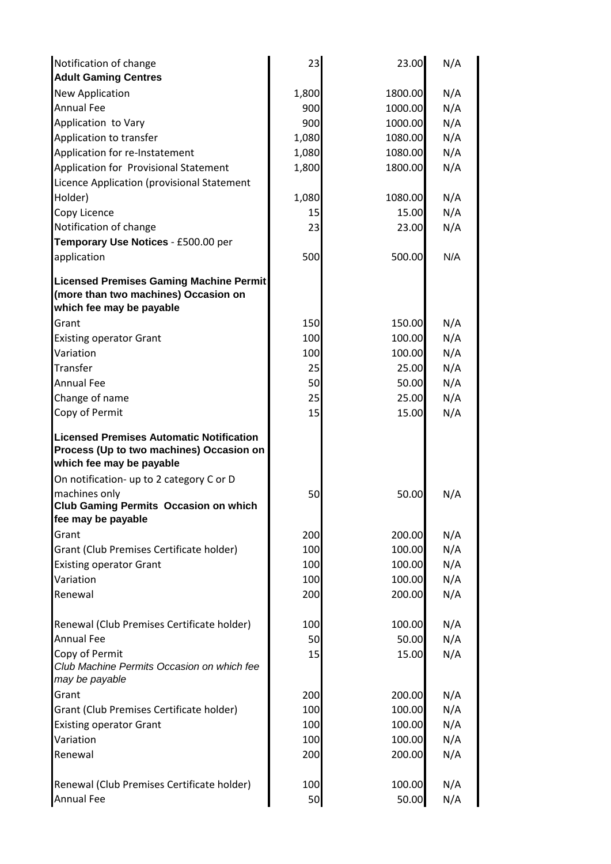| Notification of change                                                                                                  | 23    | 23.00   | N/A |
|-------------------------------------------------------------------------------------------------------------------------|-------|---------|-----|
| <b>Adult Gaming Centres</b>                                                                                             |       |         |     |
| <b>New Application</b>                                                                                                  | 1,800 | 1800.00 | N/A |
| <b>Annual Fee</b>                                                                                                       | 900   | 1000.00 | N/A |
| Application to Vary                                                                                                     | 900   | 1000.00 | N/A |
| Application to transfer                                                                                                 | 1,080 | 1080.00 | N/A |
| Application for re-Instatement                                                                                          | 1,080 | 1080.00 | N/A |
| Application for Provisional Statement                                                                                   | 1,800 | 1800.00 | N/A |
| Licence Application (provisional Statement                                                                              |       |         |     |
| Holder)                                                                                                                 | 1,080 | 1080.00 | N/A |
| Copy Licence                                                                                                            | 15    | 15.00   | N/A |
| Notification of change                                                                                                  | 23    | 23.00   | N/A |
| Temporary Use Notices - £500.00 per                                                                                     |       |         |     |
| application                                                                                                             | 500   | 500.00  | N/A |
| <b>Licensed Premises Gaming Machine Permit</b><br>(more than two machines) Occasion on<br>which fee may be payable      |       |         |     |
| Grant                                                                                                                   | 150   | 150.00  | N/A |
| <b>Existing operator Grant</b>                                                                                          | 100   | 100.00  | N/A |
| Variation                                                                                                               | 100   | 100.00  | N/A |
| Transfer                                                                                                                | 25    | 25.00   | N/A |
| <b>Annual Fee</b>                                                                                                       | 50    | 50.00   | N/A |
| Change of name                                                                                                          | 25    | 25.00   | N/A |
| Copy of Permit                                                                                                          | 15    | 15.00   | N/A |
| <b>Licensed Premises Automatic Notification</b><br>Process (Up to two machines) Occasion on<br>which fee may be payable |       |         |     |
| On notification- up to 2 category C or D                                                                                |       |         |     |
| machines only<br><b>Club Gaming Permits Occasion on which</b><br>fee may be payable                                     | 50    | 50.00   | N/A |
| Grant                                                                                                                   | 200   | 200.00  | N/A |
| Grant (Club Premises Certificate holder)                                                                                | 100   | 100.00  | N/A |
| <b>Existing operator Grant</b>                                                                                          | 100   | 100.00  | N/A |
| Variation                                                                                                               | 100   | 100.00  | N/A |
| Renewal                                                                                                                 | 200   | 200.00  | N/A |
| Renewal (Club Premises Certificate holder)                                                                              | 100   | 100.00  | N/A |
| <b>Annual Fee</b>                                                                                                       | 50    | 50.00   | N/A |
| Copy of Permit<br>Club Machine Permits Occasion on which fee                                                            | 15    | 15.00   | N/A |
| may be payable<br>Grant                                                                                                 | 200   | 200.00  | N/A |
| Grant (Club Premises Certificate holder)                                                                                | 100   | 100.00  | N/A |
| <b>Existing operator Grant</b>                                                                                          | 100   | 100.00  | N/A |
| Variation                                                                                                               | 100   | 100.00  | N/A |
| Renewal                                                                                                                 | 200   | 200.00  | N/A |
|                                                                                                                         |       |         |     |
| Renewal (Club Premises Certificate holder)                                                                              | 100   | 100.00  | N/A |
| <b>Annual Fee</b>                                                                                                       | 50    | 50.00   | N/A |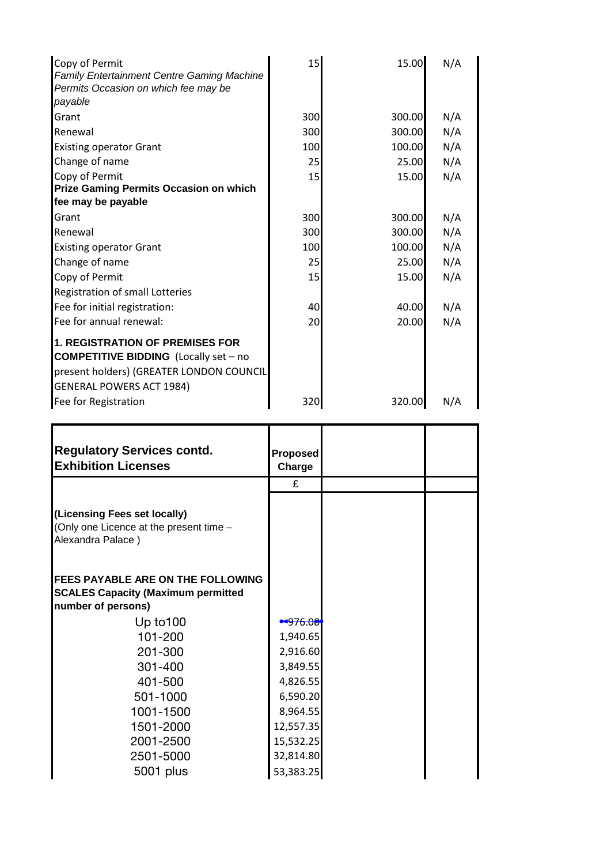| Copy of Permit<br><b>Family Entertainment Centre Gaming Machine</b><br>Permits Occasion on which fee may be<br>payable                                                | 15  | 15.00  | N/A |
|-----------------------------------------------------------------------------------------------------------------------------------------------------------------------|-----|--------|-----|
| Grant                                                                                                                                                                 | 300 | 300.00 | N/A |
| Renewal                                                                                                                                                               | 300 | 300.00 | N/A |
| <b>Existing operator Grant</b>                                                                                                                                        | 100 | 100.00 | N/A |
| Change of name                                                                                                                                                        | 25  | 25.00  | N/A |
| Copy of Permit                                                                                                                                                        | 15  | 15.00  | N/A |
| <b>Prize Gaming Permits Occasion on which</b>                                                                                                                         |     |        |     |
| fee may be payable                                                                                                                                                    |     |        |     |
| Grant                                                                                                                                                                 | 300 | 300.00 | N/A |
| Renewal                                                                                                                                                               | 300 | 300.00 | N/A |
| <b>Existing operator Grant</b>                                                                                                                                        | 100 | 100.00 | N/A |
| Change of name                                                                                                                                                        | 25  | 25.00  | N/A |
| Copy of Permit                                                                                                                                                        | 15  | 15.00  | N/A |
| Registration of small Lotteries                                                                                                                                       |     |        |     |
| Fee for initial registration:                                                                                                                                         | 40  | 40.00  | N/A |
| Fee for annual renewal:                                                                                                                                               | 20  | 20.00  | N/A |
| <b>1. REGISTRATION OF PREMISES FOR</b><br><b>COMPETITIVE BIDDING</b> (Locally set - no<br>present holders) (GREATER LONDON COUNCIL<br><b>GENERAL POWERS ACT 1984)</b> |     |        |     |
| Fee for Registration                                                                                                                                                  | 320 | 320.00 | N/A |

| <b>Regulatory Services contd.</b><br><b>Exhibition Licenses</b>                                              | Proposed<br>Charge |  |
|--------------------------------------------------------------------------------------------------------------|--------------------|--|
|                                                                                                              | £                  |  |
| (Licensing Fees set locally)<br>(Only one Licence at the present time -<br>Alexandra Palace)                 |                    |  |
| <b>IFEES PAYABLE ARE ON THE FOLLOWING</b><br><b>SCALES Capacity (Maximum permitted</b><br>number of persons) |                    |  |
| Up to $100$                                                                                                  | • 976.00           |  |
| 101-200                                                                                                      | 1,940.65           |  |
| 201-300                                                                                                      | 2,916.60           |  |
| 301-400                                                                                                      | 3,849.55           |  |
| 401-500                                                                                                      | 4,826.55           |  |
| 501-1000                                                                                                     | 6,590.20           |  |
| 1001-1500                                                                                                    | 8,964.55           |  |
| 1501-2000                                                                                                    | 12,557.35          |  |
| 2001-2500                                                                                                    | 15,532.25          |  |
| 2501-5000                                                                                                    | 32,814.80          |  |
| 5001 plus                                                                                                    | 53,383.25          |  |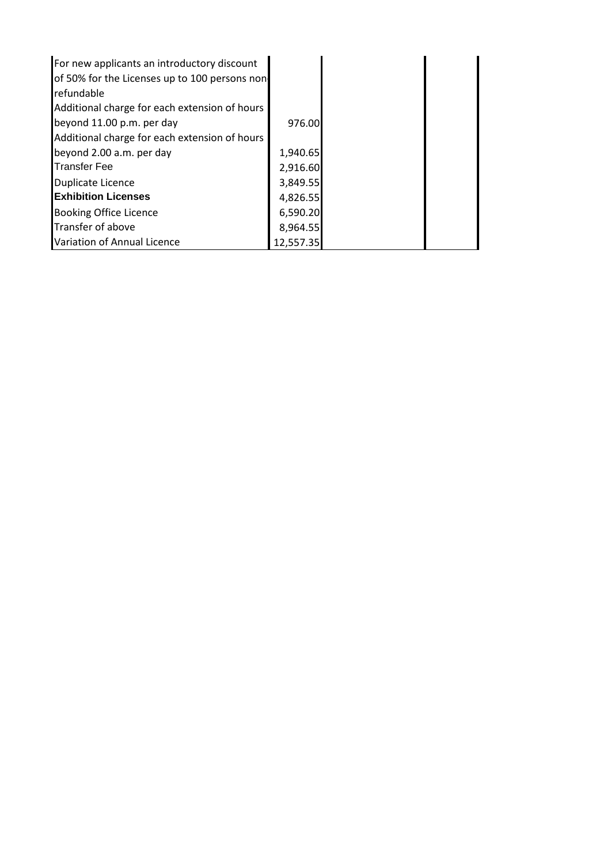| For new applicants an introductory discount    |           |  |
|------------------------------------------------|-----------|--|
| of 50% for the Licenses up to 100 persons non- |           |  |
| refundable                                     |           |  |
| Additional charge for each extension of hours  |           |  |
| beyond 11.00 p.m. per day                      | 976.00    |  |
| Additional charge for each extension of hours  |           |  |
| beyond 2.00 a.m. per day                       | 1,940.65  |  |
| Transfer Fee                                   | 2,916.60  |  |
| Duplicate Licence                              | 3,849.55  |  |
| <b>IExhibition Licenses</b>                    | 4,826.55  |  |
| <b>Booking Office Licence</b>                  | 6,590.20  |  |
| Transfer of above                              | 8,964.55  |  |
| Variation of Annual Licence                    | 12,557.35 |  |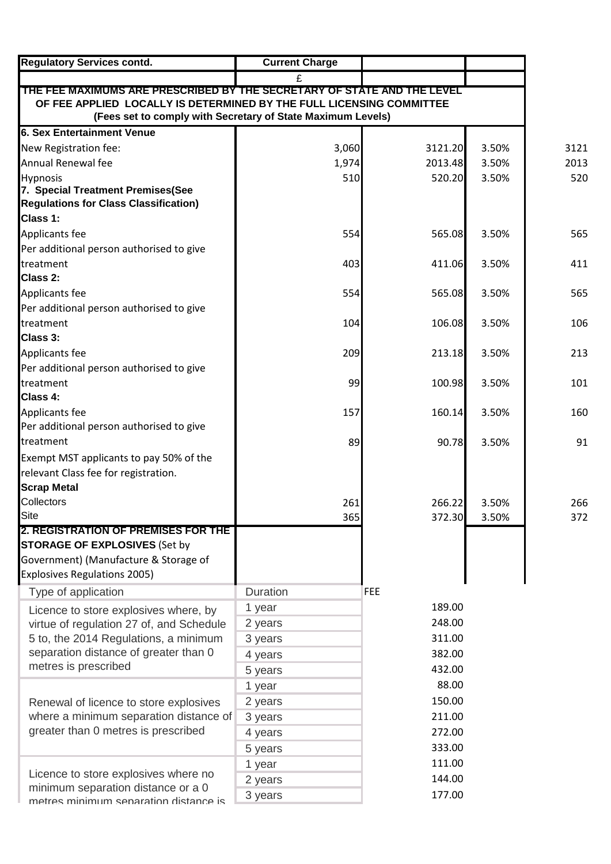| <b>Regulatory Services contd.</b>                                                                                                   | <b>Current Charge</b> |                  |       |      |
|-------------------------------------------------------------------------------------------------------------------------------------|-----------------------|------------------|-------|------|
|                                                                                                                                     |                       |                  |       |      |
| THE FEE MAXIMUMS ARE PRESCRIBED BY THE SECRETARY OF STATE AND THE LEVEL                                                             |                       |                  |       |      |
| OF FEE APPLIED LOCALLY IS DETERMINED BY THE FULL LICENSING COMMITTEE<br>(Fees set to comply with Secretary of State Maximum Levels) |                       |                  |       |      |
| <b>6. Sex Entertainment Venue</b>                                                                                                   |                       |                  |       |      |
| New Registration fee:                                                                                                               | 3,060                 | 3121.20          | 3.50% | 3121 |
| Annual Renewal fee                                                                                                                  | 1,974                 | 2013.48          | 3.50% | 2013 |
| <b>Hypnosis</b>                                                                                                                     | 510                   | 520.20           | 3.50% | 520  |
| 7. Special Treatment Premises(See                                                                                                   |                       |                  |       |      |
| <b>Regulations for Class Classification)</b>                                                                                        |                       |                  |       |      |
| Class 1:                                                                                                                            |                       |                  |       |      |
| Applicants fee                                                                                                                      | 554                   | 565.08           | 3.50% | 565  |
| Per additional person authorised to give                                                                                            |                       |                  |       |      |
| treatment                                                                                                                           | 403                   | 411.06           | 3.50% | 411  |
| Class 2:                                                                                                                            |                       |                  |       |      |
| Applicants fee                                                                                                                      | 554                   | 565.08           | 3.50% | 565  |
| Per additional person authorised to give                                                                                            |                       |                  |       |      |
| treatment                                                                                                                           | 104                   | 106.08           | 3.50% | 106  |
| Class 3:                                                                                                                            |                       |                  |       |      |
| Applicants fee                                                                                                                      | 209                   | 213.18           | 3.50% | 213  |
| Per additional person authorised to give                                                                                            |                       |                  |       |      |
| treatment                                                                                                                           | 99                    | 100.98           | 3.50% | 101  |
| Class 4:                                                                                                                            |                       |                  |       |      |
| Applicants fee                                                                                                                      | 157                   | 160.14           | 3.50% | 160  |
| Per additional person authorised to give                                                                                            |                       |                  |       |      |
| treatment                                                                                                                           | 89                    | 90.78            | 3.50% | 91   |
| Exempt MST applicants to pay 50% of the                                                                                             |                       |                  |       |      |
| relevant Class fee for registration.                                                                                                |                       |                  |       |      |
| <b>Scrap Metal</b>                                                                                                                  |                       |                  |       |      |
| Collectors<br><b>Site</b>                                                                                                           | 261                   | 266.22<br>372.30 | 3.50% | 266  |
| 2. REGISTRATION OF PREMISES FOR THE                                                                                                 | 365                   |                  | 3.50% | 372  |
| <b>STORAGE OF EXPLOSIVES (Set by</b>                                                                                                |                       |                  |       |      |
| Government) (Manufacture & Storage of                                                                                               |                       |                  |       |      |
| Explosives Regulations 2005)                                                                                                        |                       |                  |       |      |
| Type of application                                                                                                                 | Duration              | FEE              |       |      |
| Licence to store explosives where, by                                                                                               | 1 year                | 189.00           |       |      |
| virtue of regulation 27 of, and Schedule                                                                                            | 2 years               | 248.00           |       |      |
| 5 to, the 2014 Regulations, a minimum                                                                                               | 3 years               | 311.00           |       |      |
| separation distance of greater than 0                                                                                               | 4 years               | 382.00           |       |      |
| metres is prescribed                                                                                                                | 5 years               | 432.00           |       |      |
|                                                                                                                                     | 1 year                | 88.00            |       |      |
| Renewal of licence to store explosives                                                                                              | 2 years               | 150.00           |       |      |
| where a minimum separation distance of                                                                                              | 3 years               | 211.00           |       |      |
| greater than 0 metres is prescribed                                                                                                 | 4 years               | 272.00           |       |      |
|                                                                                                                                     | 5 years               | 333.00           |       |      |
|                                                                                                                                     | 1 year                | 111.00           |       |      |
| Licence to store explosives where no                                                                                                | 2 years               | 144.00           |       |      |
| minimum separation distance or a 0                                                                                                  | 3 years               | 177.00           |       |      |
| matras minimum sanaration distanca is                                                                                               |                       |                  |       |      |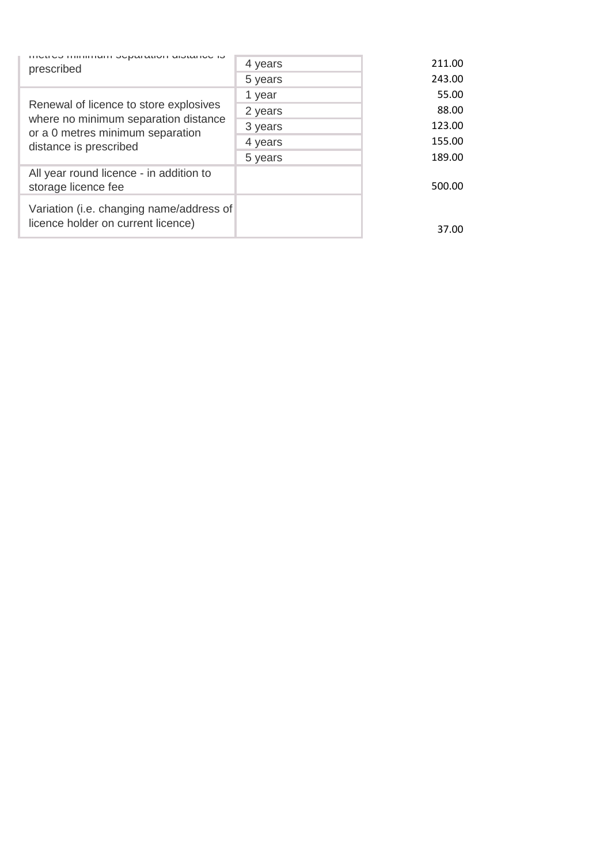| הוענועט וחווחוווישות סטאמומנוטת שוטנמווטט וס<br>prescribed                                         | 4 years | 211.00 |
|----------------------------------------------------------------------------------------------------|---------|--------|
|                                                                                                    | 5 years | 243.00 |
|                                                                                                    | 1 year  | 55.00  |
| Renewal of licence to store explosives                                                             | 2 years | 88.00  |
| where no minimum separation distance<br>or a 0 metres minimum separation<br>distance is prescribed | 3 years | 123.00 |
|                                                                                                    | 4 years | 155.00 |
|                                                                                                    | 5 years | 189.00 |
| All year round licence - in addition to<br>storage licence fee                                     |         | 500.00 |
| Variation (i.e. changing name/address of<br>licence holder on current licence)                     |         | 37.00  |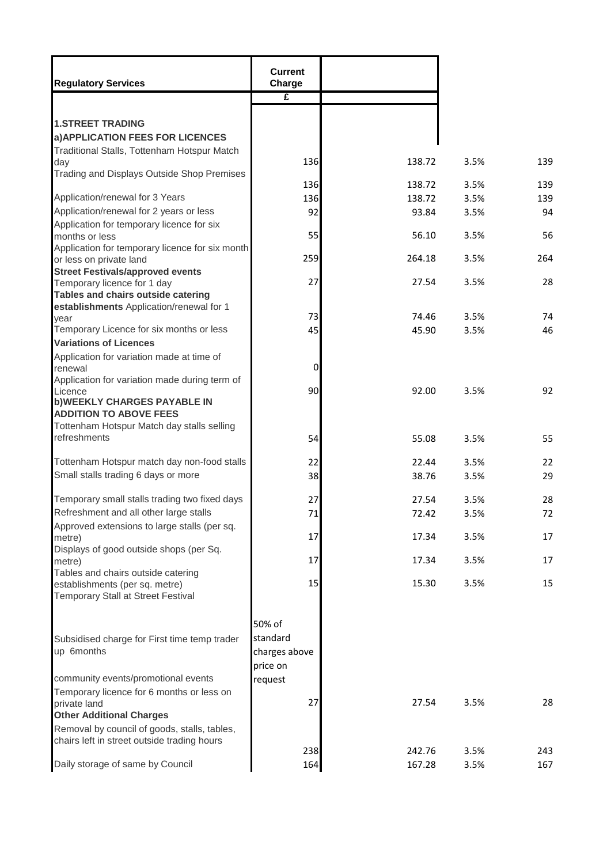| <b>1.STREET TRADING</b><br>a) APPLICATION FEES FOR LICENCES<br>Traditional Stalls, Tottenham Hotspur Match<br>136<br>138.72<br>3.5%<br>day<br>Trading and Displays Outside Shop Premises<br>136<br>138.72<br>3.5%<br>Application/renewal for 3 Years<br>136<br>138.72<br>3.5%<br>Application/renewal for 2 years or less<br>92<br>93.84<br>3.5%<br>Application for temporary licence for six<br>55<br>56.10<br>3.5%<br>months or less<br>Application for temporary licence for six month<br>259<br>264.18<br>3.5%<br>or less on private land<br><b>Street Festivals/approved events</b><br>27<br>27.54<br>3.5%<br>Temporary licence for 1 day<br>Tables and chairs outside catering<br>establishments Application/renewal for 1<br>74<br>73<br>74.46<br>3.5%<br>vear<br>Temporary Licence for six months or less<br>45<br>46<br>45.90<br>3.5%<br><b>Variations of Licences</b><br>Application for variation made at time of<br>$\mathbf 0$<br>renewal<br>Application for variation made during term of<br>90<br>92.00<br>3.5%<br>Licence<br><b>b)WEEKLY CHARGES PAYABLE IN</b><br><b>ADDITION TO ABOVE FEES</b><br>Tottenham Hotspur Match day stalls selling<br>refreshments<br>54<br>55.08<br>3.5%<br>Tottenham Hotspur match day non-food stalls<br>22<br>3.5%<br>22.44<br>Small stalls trading 6 days or more<br>38<br>38.76<br>3.5%<br>Temporary small stalls trading two fixed days<br>28<br>27<br>27.54<br>3.5%<br>Refreshment and all other large stalls<br>71<br>72<br>72.42<br>3.5%<br>Approved extensions to large stalls (per sq.<br>17<br>3.5%<br>17.34<br>metre)<br>Displays of good outside shops (per Sq.<br>17<br>17.34<br>3.5%<br>metre)<br>Tables and chairs outside catering<br>15<br>15.30<br>3.5%<br>establishments (per sq. metre)<br>Temporary Stall at Street Festival<br>50% of<br>standard<br>Subsidised charge for First time temp trader<br>up 6months<br>charges above<br>price on<br>community events/promotional events<br>request<br>Temporary licence for 6 months or less on<br>27<br>27.54<br>3.5%<br>private land<br><b>Other Additional Charges</b><br>Removal by council of goods, stalls, tables,<br>chairs left in street outside trading hours<br>238<br>242.76<br>3.5%<br>243<br>Daily storage of same by Council<br>164<br>167.28<br>3.5% | <b>Regulatory Services</b> | <b>Current</b><br>Charge |  |     |
|---------------------------------------------------------------------------------------------------------------------------------------------------------------------------------------------------------------------------------------------------------------------------------------------------------------------------------------------------------------------------------------------------------------------------------------------------------------------------------------------------------------------------------------------------------------------------------------------------------------------------------------------------------------------------------------------------------------------------------------------------------------------------------------------------------------------------------------------------------------------------------------------------------------------------------------------------------------------------------------------------------------------------------------------------------------------------------------------------------------------------------------------------------------------------------------------------------------------------------------------------------------------------------------------------------------------------------------------------------------------------------------------------------------------------------------------------------------------------------------------------------------------------------------------------------------------------------------------------------------------------------------------------------------------------------------------------------------------------------------------------------------------------------------------------------------------------------------------------------------------------------------------------------------------------------------------------------------------------------------------------------------------------------------------------------------------------------------------------------------------------------------------------------------------------------------------------------------------------------------------------------------------------------------|----------------------------|--------------------------|--|-----|
|                                                                                                                                                                                                                                                                                                                                                                                                                                                                                                                                                                                                                                                                                                                                                                                                                                                                                                                                                                                                                                                                                                                                                                                                                                                                                                                                                                                                                                                                                                                                                                                                                                                                                                                                                                                                                                                                                                                                                                                                                                                                                                                                                                                                                                                                                       |                            | $\overline{\mathbf{f}}$  |  |     |
|                                                                                                                                                                                                                                                                                                                                                                                                                                                                                                                                                                                                                                                                                                                                                                                                                                                                                                                                                                                                                                                                                                                                                                                                                                                                                                                                                                                                                                                                                                                                                                                                                                                                                                                                                                                                                                                                                                                                                                                                                                                                                                                                                                                                                                                                                       |                            |                          |  |     |
|                                                                                                                                                                                                                                                                                                                                                                                                                                                                                                                                                                                                                                                                                                                                                                                                                                                                                                                                                                                                                                                                                                                                                                                                                                                                                                                                                                                                                                                                                                                                                                                                                                                                                                                                                                                                                                                                                                                                                                                                                                                                                                                                                                                                                                                                                       |                            |                          |  | 139 |
|                                                                                                                                                                                                                                                                                                                                                                                                                                                                                                                                                                                                                                                                                                                                                                                                                                                                                                                                                                                                                                                                                                                                                                                                                                                                                                                                                                                                                                                                                                                                                                                                                                                                                                                                                                                                                                                                                                                                                                                                                                                                                                                                                                                                                                                                                       |                            |                          |  | 139 |
|                                                                                                                                                                                                                                                                                                                                                                                                                                                                                                                                                                                                                                                                                                                                                                                                                                                                                                                                                                                                                                                                                                                                                                                                                                                                                                                                                                                                                                                                                                                                                                                                                                                                                                                                                                                                                                                                                                                                                                                                                                                                                                                                                                                                                                                                                       |                            |                          |  | 139 |
|                                                                                                                                                                                                                                                                                                                                                                                                                                                                                                                                                                                                                                                                                                                                                                                                                                                                                                                                                                                                                                                                                                                                                                                                                                                                                                                                                                                                                                                                                                                                                                                                                                                                                                                                                                                                                                                                                                                                                                                                                                                                                                                                                                                                                                                                                       |                            |                          |  | 94  |
|                                                                                                                                                                                                                                                                                                                                                                                                                                                                                                                                                                                                                                                                                                                                                                                                                                                                                                                                                                                                                                                                                                                                                                                                                                                                                                                                                                                                                                                                                                                                                                                                                                                                                                                                                                                                                                                                                                                                                                                                                                                                                                                                                                                                                                                                                       |                            |                          |  | 56  |
|                                                                                                                                                                                                                                                                                                                                                                                                                                                                                                                                                                                                                                                                                                                                                                                                                                                                                                                                                                                                                                                                                                                                                                                                                                                                                                                                                                                                                                                                                                                                                                                                                                                                                                                                                                                                                                                                                                                                                                                                                                                                                                                                                                                                                                                                                       |                            |                          |  | 264 |
|                                                                                                                                                                                                                                                                                                                                                                                                                                                                                                                                                                                                                                                                                                                                                                                                                                                                                                                                                                                                                                                                                                                                                                                                                                                                                                                                                                                                                                                                                                                                                                                                                                                                                                                                                                                                                                                                                                                                                                                                                                                                                                                                                                                                                                                                                       |                            |                          |  | 28  |
|                                                                                                                                                                                                                                                                                                                                                                                                                                                                                                                                                                                                                                                                                                                                                                                                                                                                                                                                                                                                                                                                                                                                                                                                                                                                                                                                                                                                                                                                                                                                                                                                                                                                                                                                                                                                                                                                                                                                                                                                                                                                                                                                                                                                                                                                                       |                            |                          |  |     |
|                                                                                                                                                                                                                                                                                                                                                                                                                                                                                                                                                                                                                                                                                                                                                                                                                                                                                                                                                                                                                                                                                                                                                                                                                                                                                                                                                                                                                                                                                                                                                                                                                                                                                                                                                                                                                                                                                                                                                                                                                                                                                                                                                                                                                                                                                       |                            |                          |  |     |
|                                                                                                                                                                                                                                                                                                                                                                                                                                                                                                                                                                                                                                                                                                                                                                                                                                                                                                                                                                                                                                                                                                                                                                                                                                                                                                                                                                                                                                                                                                                                                                                                                                                                                                                                                                                                                                                                                                                                                                                                                                                                                                                                                                                                                                                                                       |                            |                          |  |     |
|                                                                                                                                                                                                                                                                                                                                                                                                                                                                                                                                                                                                                                                                                                                                                                                                                                                                                                                                                                                                                                                                                                                                                                                                                                                                                                                                                                                                                                                                                                                                                                                                                                                                                                                                                                                                                                                                                                                                                                                                                                                                                                                                                                                                                                                                                       |                            |                          |  |     |
|                                                                                                                                                                                                                                                                                                                                                                                                                                                                                                                                                                                                                                                                                                                                                                                                                                                                                                                                                                                                                                                                                                                                                                                                                                                                                                                                                                                                                                                                                                                                                                                                                                                                                                                                                                                                                                                                                                                                                                                                                                                                                                                                                                                                                                                                                       |                            |                          |  | 92  |
|                                                                                                                                                                                                                                                                                                                                                                                                                                                                                                                                                                                                                                                                                                                                                                                                                                                                                                                                                                                                                                                                                                                                                                                                                                                                                                                                                                                                                                                                                                                                                                                                                                                                                                                                                                                                                                                                                                                                                                                                                                                                                                                                                                                                                                                                                       |                            |                          |  | 55  |
|                                                                                                                                                                                                                                                                                                                                                                                                                                                                                                                                                                                                                                                                                                                                                                                                                                                                                                                                                                                                                                                                                                                                                                                                                                                                                                                                                                                                                                                                                                                                                                                                                                                                                                                                                                                                                                                                                                                                                                                                                                                                                                                                                                                                                                                                                       |                            |                          |  |     |
|                                                                                                                                                                                                                                                                                                                                                                                                                                                                                                                                                                                                                                                                                                                                                                                                                                                                                                                                                                                                                                                                                                                                                                                                                                                                                                                                                                                                                                                                                                                                                                                                                                                                                                                                                                                                                                                                                                                                                                                                                                                                                                                                                                                                                                                                                       |                            |                          |  | 22  |
|                                                                                                                                                                                                                                                                                                                                                                                                                                                                                                                                                                                                                                                                                                                                                                                                                                                                                                                                                                                                                                                                                                                                                                                                                                                                                                                                                                                                                                                                                                                                                                                                                                                                                                                                                                                                                                                                                                                                                                                                                                                                                                                                                                                                                                                                                       |                            |                          |  | 29  |
|                                                                                                                                                                                                                                                                                                                                                                                                                                                                                                                                                                                                                                                                                                                                                                                                                                                                                                                                                                                                                                                                                                                                                                                                                                                                                                                                                                                                                                                                                                                                                                                                                                                                                                                                                                                                                                                                                                                                                                                                                                                                                                                                                                                                                                                                                       |                            |                          |  |     |
|                                                                                                                                                                                                                                                                                                                                                                                                                                                                                                                                                                                                                                                                                                                                                                                                                                                                                                                                                                                                                                                                                                                                                                                                                                                                                                                                                                                                                                                                                                                                                                                                                                                                                                                                                                                                                                                                                                                                                                                                                                                                                                                                                                                                                                                                                       |                            |                          |  |     |
|                                                                                                                                                                                                                                                                                                                                                                                                                                                                                                                                                                                                                                                                                                                                                                                                                                                                                                                                                                                                                                                                                                                                                                                                                                                                                                                                                                                                                                                                                                                                                                                                                                                                                                                                                                                                                                                                                                                                                                                                                                                                                                                                                                                                                                                                                       |                            |                          |  | 17  |
|                                                                                                                                                                                                                                                                                                                                                                                                                                                                                                                                                                                                                                                                                                                                                                                                                                                                                                                                                                                                                                                                                                                                                                                                                                                                                                                                                                                                                                                                                                                                                                                                                                                                                                                                                                                                                                                                                                                                                                                                                                                                                                                                                                                                                                                                                       |                            |                          |  | 17  |
|                                                                                                                                                                                                                                                                                                                                                                                                                                                                                                                                                                                                                                                                                                                                                                                                                                                                                                                                                                                                                                                                                                                                                                                                                                                                                                                                                                                                                                                                                                                                                                                                                                                                                                                                                                                                                                                                                                                                                                                                                                                                                                                                                                                                                                                                                       |                            |                          |  | 15  |
|                                                                                                                                                                                                                                                                                                                                                                                                                                                                                                                                                                                                                                                                                                                                                                                                                                                                                                                                                                                                                                                                                                                                                                                                                                                                                                                                                                                                                                                                                                                                                                                                                                                                                                                                                                                                                                                                                                                                                                                                                                                                                                                                                                                                                                                                                       |                            |                          |  |     |
|                                                                                                                                                                                                                                                                                                                                                                                                                                                                                                                                                                                                                                                                                                                                                                                                                                                                                                                                                                                                                                                                                                                                                                                                                                                                                                                                                                                                                                                                                                                                                                                                                                                                                                                                                                                                                                                                                                                                                                                                                                                                                                                                                                                                                                                                                       |                            |                          |  |     |
|                                                                                                                                                                                                                                                                                                                                                                                                                                                                                                                                                                                                                                                                                                                                                                                                                                                                                                                                                                                                                                                                                                                                                                                                                                                                                                                                                                                                                                                                                                                                                                                                                                                                                                                                                                                                                                                                                                                                                                                                                                                                                                                                                                                                                                                                                       |                            |                          |  |     |
|                                                                                                                                                                                                                                                                                                                                                                                                                                                                                                                                                                                                                                                                                                                                                                                                                                                                                                                                                                                                                                                                                                                                                                                                                                                                                                                                                                                                                                                                                                                                                                                                                                                                                                                                                                                                                                                                                                                                                                                                                                                                                                                                                                                                                                                                                       |                            |                          |  | 28  |
|                                                                                                                                                                                                                                                                                                                                                                                                                                                                                                                                                                                                                                                                                                                                                                                                                                                                                                                                                                                                                                                                                                                                                                                                                                                                                                                                                                                                                                                                                                                                                                                                                                                                                                                                                                                                                                                                                                                                                                                                                                                                                                                                                                                                                                                                                       |                            |                          |  |     |
|                                                                                                                                                                                                                                                                                                                                                                                                                                                                                                                                                                                                                                                                                                                                                                                                                                                                                                                                                                                                                                                                                                                                                                                                                                                                                                                                                                                                                                                                                                                                                                                                                                                                                                                                                                                                                                                                                                                                                                                                                                                                                                                                                                                                                                                                                       |                            |                          |  |     |
|                                                                                                                                                                                                                                                                                                                                                                                                                                                                                                                                                                                                                                                                                                                                                                                                                                                                                                                                                                                                                                                                                                                                                                                                                                                                                                                                                                                                                                                                                                                                                                                                                                                                                                                                                                                                                                                                                                                                                                                                                                                                                                                                                                                                                                                                                       |                            |                          |  | 167 |